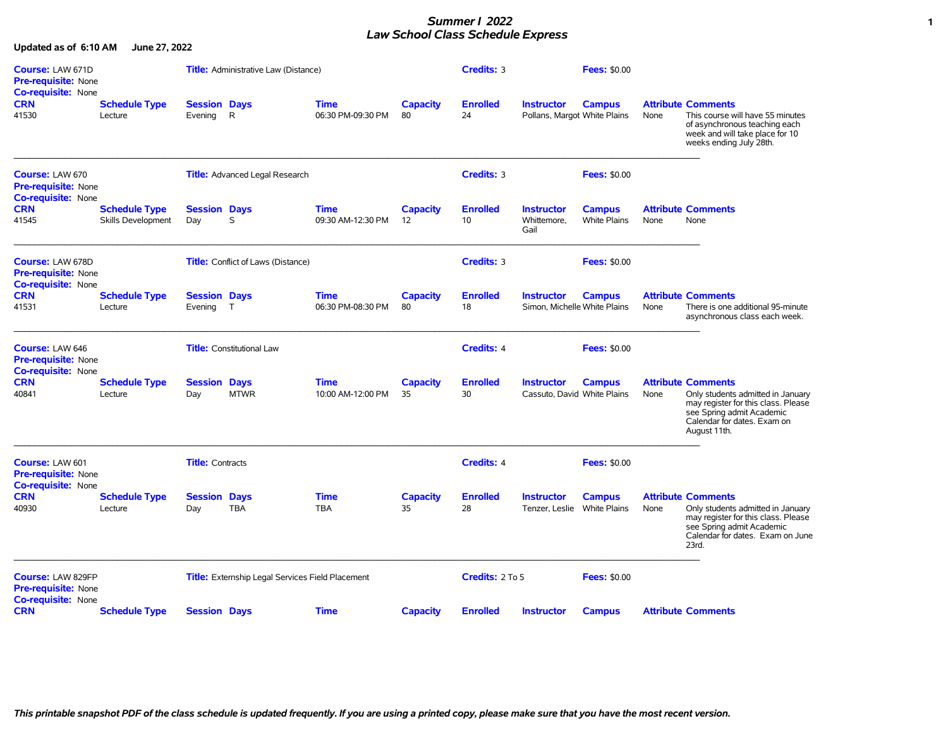## *Summer I 2022* **1** *Law School Class Schedule Express*

**Updated as of 6:10 AM June 27, 2022**

| Course: LAW 671D<br><b>Pre-requisite: None</b><br>Co-requisite: None              |                                            |                                | <b>Title:</b> Administrative Law (Distance)      |                                  |                       | Credits: 3            |                                                   | <b>Fees: \$0.00</b>                  |      |                                                                                                                                                                                   |
|-----------------------------------------------------------------------------------|--------------------------------------------|--------------------------------|--------------------------------------------------|----------------------------------|-----------------------|-----------------------|---------------------------------------------------|--------------------------------------|------|-----------------------------------------------------------------------------------------------------------------------------------------------------------------------------------|
| <b>CRN</b><br>41530                                                               | <b>Schedule Type</b><br>Lecture            | <b>Session Days</b><br>Evening | $\mathsf{R}$                                     | <b>Time</b><br>06:30 PM-09:30 PM | <b>Capacity</b><br>80 | <b>Enrolled</b><br>24 | <b>Instructor</b><br>Pollans, Margot White Plains | <b>Campus</b>                        | None | <b>Attribute Comments</b><br>This course will have 55 minutes<br>of asynchronous teaching each<br>week and will take place for 10<br>weeks ending July 28th.                      |
| Course: LAW 670<br>Pre-requisite: None<br><b>Co-requisite: None</b>               |                                            |                                | <b>Title:</b> Advanced Legal Research            |                                  |                       | Credits: 3            |                                                   | <b>Fees: \$0.00</b>                  |      |                                                                                                                                                                                   |
| <b>CRN</b><br>41545                                                               | <b>Schedule Type</b><br>Skills Development | <b>Session Days</b><br>Day     | S                                                | <b>Time</b><br>09:30 AM-12:30 PM | <b>Capacity</b><br>12 | <b>Enrolled</b><br>10 | <b>Instructor</b><br>Whittemore,<br>Gail          | <b>Campus</b><br><b>White Plains</b> | None | <b>Attribute Comments</b><br>None                                                                                                                                                 |
| Course: LAW 678D<br>Pre-requisite: None<br><b>Co-requisite: None</b>              |                                            |                                | Title: Conflict of Laws (Distance)               |                                  |                       | Credits: 3            |                                                   | <b>Fees: \$0.00</b>                  |      |                                                                                                                                                                                   |
| <b>CRN</b><br>41531                                                               | <b>Schedule Type</b><br>Lecture            | <b>Session Days</b><br>Evening | $\mathsf{T}$                                     | <b>Time</b><br>06:30 PM-08:30 PM | <b>Capacity</b><br>80 | <b>Enrolled</b><br>18 | <b>Instructor</b><br>Simon, Michelle White Plains | <b>Campus</b>                        | None | <b>Attribute Comments</b><br>There is one additional 95-minute<br>asynchronous class each week.                                                                                   |
| <b>Course: LAW 646</b><br><b>Pre-requisite: None</b><br><b>Co-requisite: None</b> |                                            |                                | <b>Title:</b> Constitutional Law                 |                                  |                       | <b>Credits: 4</b>     |                                                   | <b>Fees: \$0.00</b>                  |      |                                                                                                                                                                                   |
| <b>CRN</b><br>40841                                                               | <b>Schedule Type</b><br>Lecture            | <b>Session Days</b><br>Day     | <b>MTWR</b>                                      | <b>Time</b><br>10:00 AM-12:00 PM | <b>Capacity</b><br>35 | <b>Enrolled</b><br>30 | <b>Instructor</b><br>Cassuto, David White Plains  | <b>Campus</b>                        | None | <b>Attribute Comments</b><br>Only students admitted in January<br>may register for this class. Please<br>see Spring admit Academic<br>Calendar for dates. Exam on<br>August 11th. |
| Course: LAW 601<br><b>Pre-requisite: None</b>                                     |                                            | <b>Title:</b> Contracts        |                                                  |                                  |                       | <b>Credits: 4</b>     |                                                   | <b>Fees: \$0.00</b>                  |      |                                                                                                                                                                                   |
| <b>Co-requisite: None</b><br><b>CRN</b><br>40930                                  | <b>Schedule Type</b><br>Lecture            | <b>Session Days</b><br>Day     | <b>TBA</b>                                       | <b>Time</b><br><b>TBA</b>        | <b>Capacity</b><br>35 | <b>Enrolled</b><br>28 | <b>Instructor</b><br>Tenzer, Leslie White Plains  | <b>Campus</b>                        | None | <b>Attribute Comments</b><br>Only students admitted in January<br>may register for this class. Please<br>see Spring admit Academic<br>Calendar for dates. Exam on June<br>23rd.   |
| Course: LAW 829FP<br>Pre-requisite: None<br><b>Co-requisite: None</b>             |                                            |                                | Title: Externship Legal Services Field Placement |                                  |                       | Credits: 2 To 5       |                                                   | <b>Fees: \$0.00</b>                  |      |                                                                                                                                                                                   |
| <b>CRN</b>                                                                        | <b>Schedule Type</b>                       | <b>Session Days</b>            |                                                  | <b>Time</b>                      | <b>Capacity</b>       | <b>Enrolled</b>       | <b>Instructor</b>                                 | <b>Campus</b>                        |      | <b>Attribute Comments</b>                                                                                                                                                         |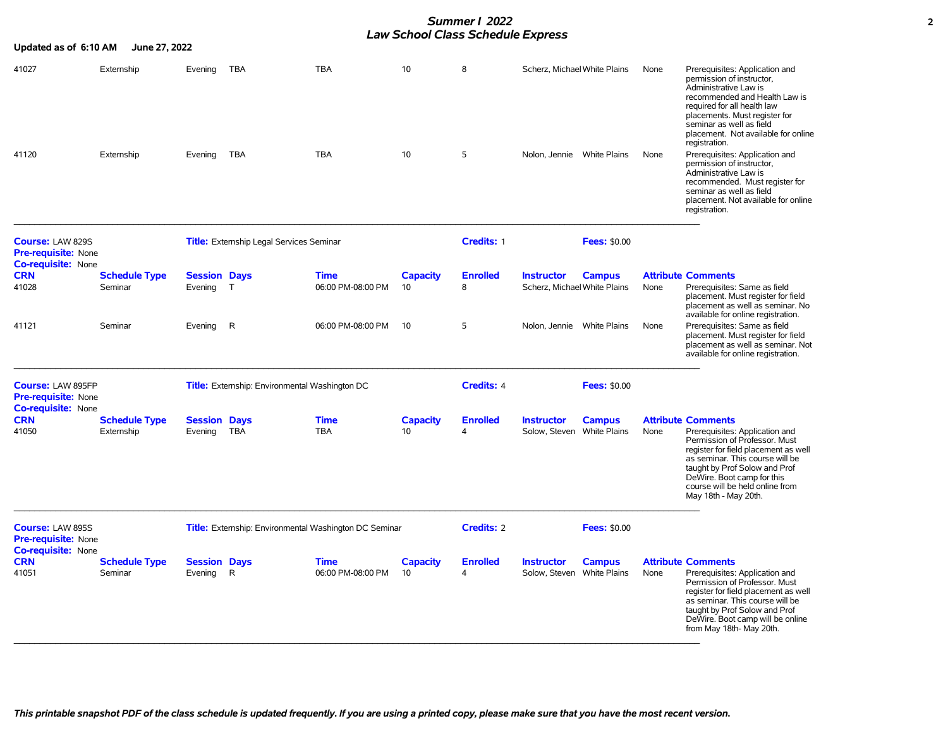## *Summer I 2022* **2** *Law School Class Schedule Express*

| Updated as of 6:10 AM                                                               | June 27, 2022                      |                                |                                                               |                                  |                       |                             |                                                   |                     |      |                                                                                                                                                                                                                                                                                                   |
|-------------------------------------------------------------------------------------|------------------------------------|--------------------------------|---------------------------------------------------------------|----------------------------------|-----------------------|-----------------------------|---------------------------------------------------|---------------------|------|---------------------------------------------------------------------------------------------------------------------------------------------------------------------------------------------------------------------------------------------------------------------------------------------------|
| 41027                                                                               | Externship                         | Evening                        | <b>TBA</b>                                                    | <b>TBA</b>                       | 10                    | 8                           | Scherz, Michael White Plains                      |                     | None | Prerequisites: Application and<br>permission of instructor,<br>Administrative Law is<br>recommended and Health Law is<br>required for all health law<br>placements. Must register for<br>seminar as well as field<br>placement. Not available for online<br>registration.                         |
| 41120                                                                               | Externship                         | Evening                        | TBA                                                           | <b>TBA</b>                       | 10                    | 5                           | Nolon, Jennie White Plains                        |                     | None | Prerequisites: Application and<br>permission of instructor,<br>Administrative Law is<br>recommended. Must register for<br>seminar as well as field<br>placement. Not available for online<br>registration.                                                                                        |
| Course: LAW 829S<br><b>Pre-requisite: None</b><br><b>Co-requisite: None</b>         |                                    |                                | <b>Title:</b> Externship Legal Services Seminar               |                                  |                       | Credits: 1                  |                                                   | <b>Fees: \$0.00</b> |      |                                                                                                                                                                                                                                                                                                   |
| <b>CRN</b><br>41028                                                                 | <b>Schedule Type</b><br>Seminar    | <b>Session Days</b><br>Evening | $\top$                                                        | <b>Time</b><br>06:00 PM-08:00 PM | <b>Capacity</b><br>10 | <b>Enrolled</b><br>8        | <b>Instructor</b><br>Scherz, Michael White Plains | <b>Campus</b>       | None | <b>Attribute Comments</b><br>Prerequisites: Same as field<br>placement. Must register for field<br>placement as well as seminar. No<br>available for online registration.                                                                                                                         |
| 41121                                                                               | Seminar                            | Evening                        | R                                                             | 06:00 PM-08:00 PM                | 10                    | 5                           | Nolon, Jennie White Plains                        |                     | None | Prerequisites: Same as field<br>placement. Must register for field<br>placement as well as seminar. Not<br>available for online registration.                                                                                                                                                     |
| <b>Course: LAW 895FP</b><br><b>Pre-requisite: None</b><br><b>Co-requisite: None</b> |                                    |                                | <b>Title:</b> Externship: Environmental Washington DC         |                                  |                       | Credits: 4                  |                                                   | <b>Fees: \$0.00</b> |      |                                                                                                                                                                                                                                                                                                   |
| <b>CRN</b><br>41050                                                                 | <b>Schedule Type</b><br>Externship | <b>Session Days</b><br>Evening | <b>TBA</b>                                                    | <b>Time</b><br><b>TBA</b>        | <b>Capacity</b><br>10 | <b>Enrolled</b><br>$\Delta$ | <b>Instructor</b><br>Solow, Steven White Plains   | <b>Campus</b>       | None | <b>Attribute Comments</b><br>Prerequisites: Application and<br>Permission of Professor. Must<br>register for field placement as well<br>as seminar. This course will be<br>taught by Prof Solow and Prof<br>DeWire. Boot camp for this<br>course will be held online from<br>May 18th - May 20th. |
| Course: LAW 895S<br><b>Pre-requisite: None</b><br><b>Co-requisite: None</b>         |                                    |                                | <b>Title:</b> Externship: Environmental Washington DC Seminar |                                  |                       | <b>Credits: 2</b>           |                                                   | <b>Fees: \$0.00</b> |      |                                                                                                                                                                                                                                                                                                   |
| <b>CRN</b><br>41051                                                                 | <b>Schedule Type</b><br>Seminar    | <b>Session Days</b><br>Evening | R                                                             | <b>Time</b><br>06:00 PM-08:00 PM | <b>Capacity</b><br>10 | <b>Enrolled</b><br>4        | <b>Instructor</b><br>Solow, Steven White Plains   | <b>Campus</b>       | None | <b>Attribute Comments</b><br>Prerequisites: Application and<br>Permission of Professor. Must<br>register for field placement as well<br>as seminar. This course will be<br>taught by Prof Solow and Prof<br>DeWire. Boot camp will be online<br>from May 18th- May 20th.                          |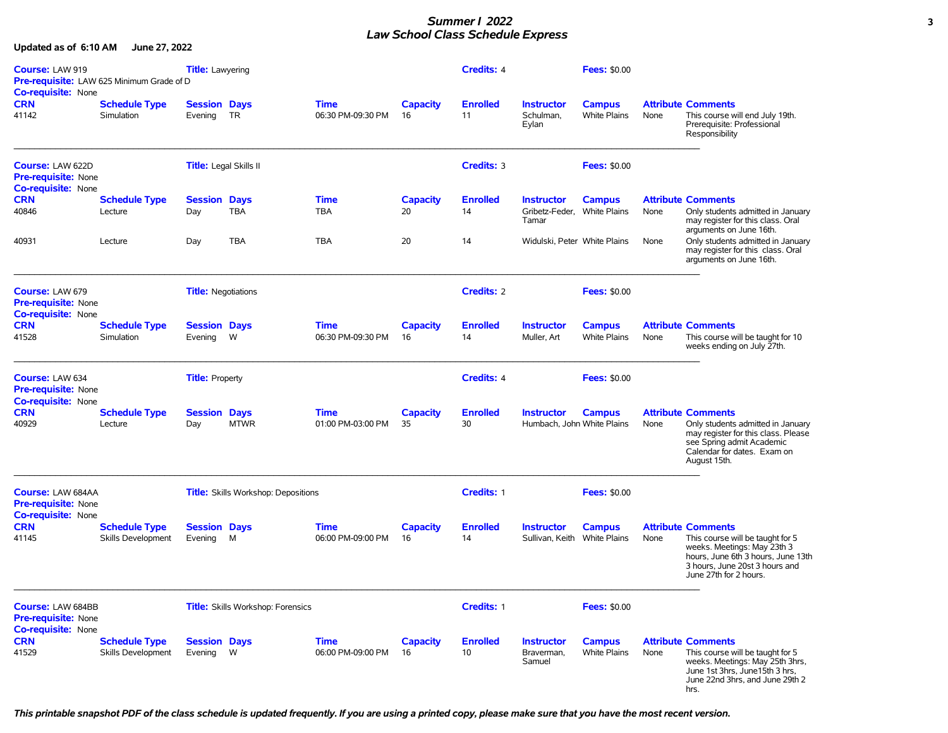## *Summer I 2022* **3** *Law School Class Schedule Express*

**Updated as of 6:10 AM June 27, 2022**

| Course: LAW 919<br><b>Co-requisite: None</b>                                 | Pre-requisite: LAW 625 Minimum Grade of D         | <b>Title:</b> Lawyering        |                                            |                                  |                       | <b>Credits: 4</b>     |                                                           | <b>Fees: \$0.00</b>                  |      |                                                                                                                                                                                                |
|------------------------------------------------------------------------------|---------------------------------------------------|--------------------------------|--------------------------------------------|----------------------------------|-----------------------|-----------------------|-----------------------------------------------------------|--------------------------------------|------|------------------------------------------------------------------------------------------------------------------------------------------------------------------------------------------------|
| <b>CRN</b><br>41142                                                          | <b>Schedule Type</b><br><b>Simulation</b>         | <b>Session Days</b><br>Evening | <b>TR</b>                                  | <b>Time</b><br>06:30 PM-09:30 PM | <b>Capacity</b><br>16 | <b>Enrolled</b><br>11 | <b>Instructor</b><br>Schulman.<br>Eylan                   | <b>Campus</b><br><b>White Plains</b> | None | <b>Attribute Comments</b><br>This course will end July 19th.<br>Prerequisite: Professional<br>Responsibility                                                                                   |
| <b>Course: LAW 622D</b><br>Pre-requisite: None<br><b>Co-requisite: None</b>  |                                                   | <b>Title:</b> Legal Skills II  |                                            |                                  |                       | <b>Credits: 3</b>     |                                                           | <b>Fees: \$0.00</b>                  |      |                                                                                                                                                                                                |
| <b>CRN</b><br>40846                                                          | <b>Schedule Type</b><br>Lecture                   | <b>Session Days</b><br>Day     | <b>TBA</b>                                 | Time<br><b>TBA</b>               | <b>Capacity</b><br>20 | <b>Enrolled</b><br>14 | <b>Instructor</b><br>Gribetz-Feder, White Plains<br>Tamar | <b>Campus</b>                        | None | <b>Attribute Comments</b><br>Only students admitted in January<br>may register for this class. Oral<br>arguments on June 16th.                                                                 |
| 40931                                                                        | Lecture                                           | Day                            | <b>TBA</b>                                 | <b>TBA</b>                       | 20                    | 14                    | Widulski, Peter White Plains                              |                                      | None | Only students admitted in January<br>may register for this class. Oral<br>arguments on June 16th.                                                                                              |
| <b>Course: LAW 679</b><br>Pre-requisite: None                                |                                                   | <b>Title: Negotiations</b>     |                                            |                                  |                       | <b>Credits: 2</b>     |                                                           | <b>Fees: \$0.00</b>                  |      |                                                                                                                                                                                                |
| <b>Co-requisite: None</b><br><b>CRN</b><br>41528                             | <b>Schedule Type</b><br>Simulation                | <b>Session Days</b><br>Evening | W                                          | Time<br>06:30 PM-09:30 PM        | <b>Capacity</b><br>16 | <b>Enrolled</b><br>14 | <b>Instructor</b><br>Muller, Art                          | <b>Campus</b><br><b>White Plains</b> | None | <b>Attribute Comments</b><br>This course will be taught for 10<br>weeks ending on July 27th.                                                                                                   |
| <b>Course: LAW 634</b><br>Pre-requisite: None<br><b>Co-requisite: None</b>   |                                                   | <b>Title: Property</b>         |                                            |                                  |                       | <b>Credits: 4</b>     |                                                           | <b>Fees: \$0.00</b>                  |      |                                                                                                                                                                                                |
| <b>CRN</b><br>40929                                                          | <b>Schedule Type</b><br>Lecture                   | <b>Session Days</b><br>Day     | <b>MTWR</b>                                | <b>Time</b><br>01:00 PM-03:00 PM | <b>Capacity</b><br>35 | <b>Enrolled</b><br>30 | <b>Instructor</b><br>Humbach, John White Plains           | <b>Campus</b>                        | None | <b>Attribute Comments</b><br>Only students admitted in January<br>may register for this class. Please<br>see Spring admit Academic<br>Calendar for dates. Exam on<br>August 15th.              |
| <b>Course: LAW 684AA</b><br>Pre-requisite: None<br><b>Co-requisite: None</b> |                                                   |                                | <b>Title:</b> Skills Workshop: Depositions |                                  |                       | Credits: 1            |                                                           | <b>Fees: \$0.00</b>                  |      |                                                                                                                                                                                                |
| <b>CRN</b><br>41145                                                          | <b>Schedule Type</b><br><b>Skills Development</b> | <b>Session Days</b><br>Evening | М                                          | <b>Time</b><br>06:00 PM-09:00 PM | <b>Capacity</b><br>16 | <b>Enrolled</b><br>14 | <b>Instructor</b><br>Sullivan, Keith White Plains         | <b>Campus</b>                        | None | <b>Attribute Comments</b><br>This course will be taught for 5<br>weeks. Meetings: May 23th 3<br>hours, June 6th 3 hours, June 13th<br>3 hours, June 20st 3 hours and<br>June 27th for 2 hours. |
| <b>Course: LAW 684BB</b><br>Pre-requisite: None                              |                                                   |                                | <b>Title:</b> Skills Workshop: Forensics   |                                  |                       | Credits: 1            |                                                           | <b>Fees: \$0.00</b>                  |      |                                                                                                                                                                                                |
| Co-requisite: None<br><b>CRN</b><br>41529                                    | <b>Schedule Type</b><br>Skills Development        | <b>Session Days</b><br>Evening | W                                          | <b>Time</b><br>06:00 PM-09:00 PM | <b>Capacity</b><br>16 | <b>Enrolled</b><br>10 | <b>Instructor</b><br>Braverman,<br>Samuel                 | <b>Campus</b><br>White Plains        | None | <b>Attribute Comments</b><br>This course will be taught for 5<br>weeks. Meetings: May 25th 3hrs,<br>June 1st 3hrs, June 15th 3 hrs,<br>June 22nd 3hrs, and June 29th 2<br>hrs.                 |

*This printable snapshot PDF of the class schedule is updated frequently. If you are using a printed copy, please make sure that you have the most recent version.*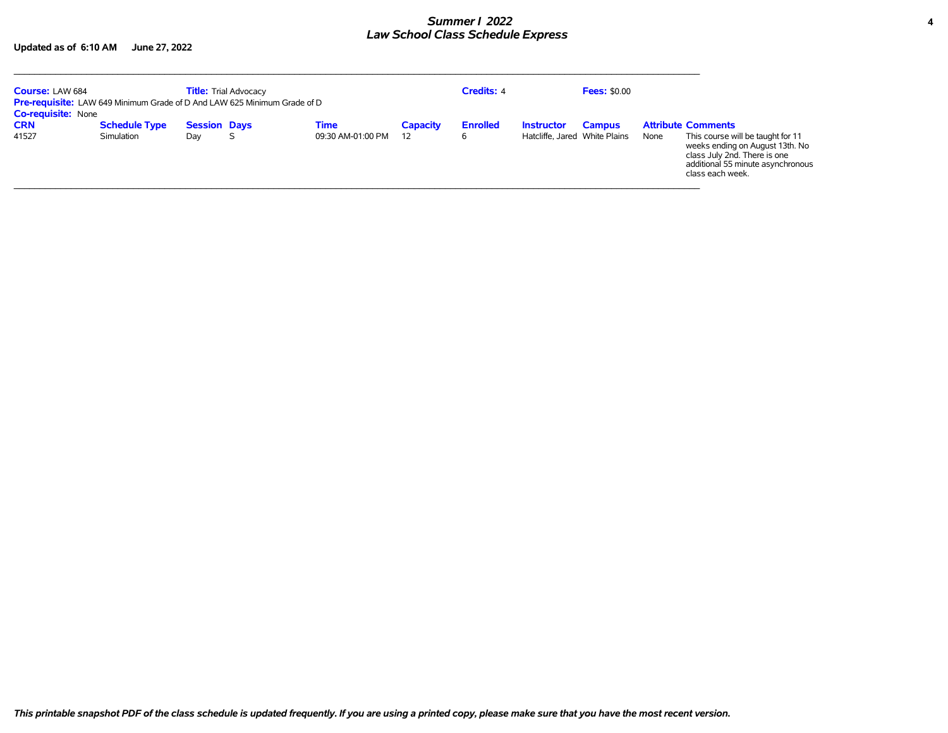## *Summer I 2022* **4** *Law School Class Schedule Express*

**Updated as of 6:10 AM June 27, 2022**

| <b>Course: LAW 684</b>    |                      | <b>Title:</b> Trial Advocacy<br><b>Pre-requisite:</b> LAW 649 Minimum Grade of D And LAW 625 Minimum Grade of D |   |                   |                 | <b>Credits: 4</b> |                               | <b>Fees: \$0.00</b> |      |                                                                                                                                                               |
|---------------------------|----------------------|-----------------------------------------------------------------------------------------------------------------|---|-------------------|-----------------|-------------------|-------------------------------|---------------------|------|---------------------------------------------------------------------------------------------------------------------------------------------------------------|
| <b>Co-requisite: None</b> |                      |                                                                                                                 |   |                   |                 |                   |                               |                     |      |                                                                                                                                                               |
| <b>CRN</b>                | <b>Schedule Type</b> | <b>Session Days</b>                                                                                             |   | Time              | <b>Capacity</b> | <b>Enrolled</b>   | <b>Instructor</b>             | <b>Campus</b>       |      | <b>Attribute Comments</b>                                                                                                                                     |
| 41527                     | Simulation           | Day                                                                                                             | S | 09:30 AM-01:00 PM | 12              | 6                 | Hatcliffe, Jared White Plains |                     | None | This course will be taught for 11<br>weeks ending on August 13th. No<br>class July 2nd. There is one<br>additional 55 minute asynchronous<br>class each week. |